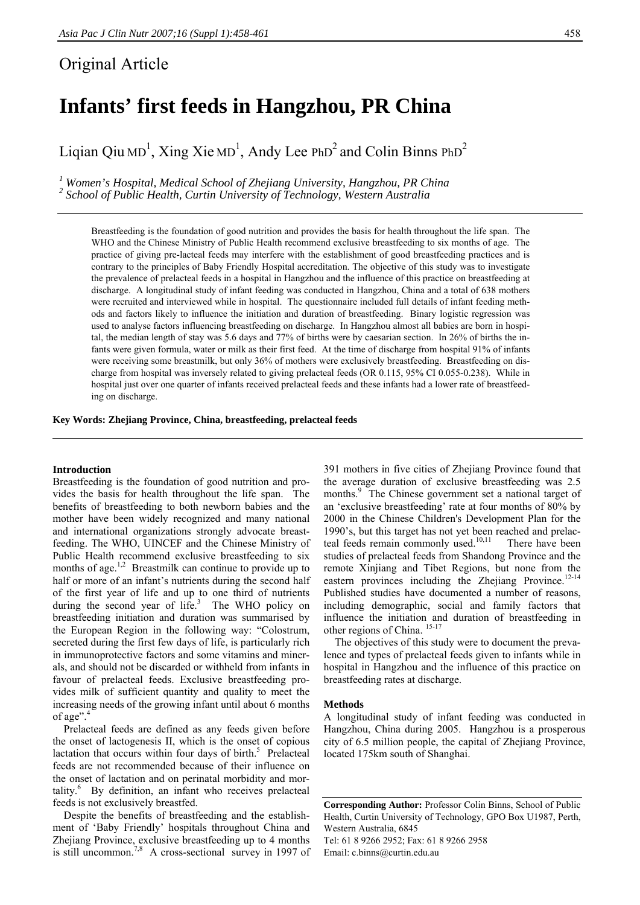# Original Article

# **Infants' first feeds in Hangzhou, PR China**

Liqian Qiu MD<sup>1</sup>, Xing Xie MD<sup>1</sup>, Andy Lee PhD<sup>2</sup> and Colin Binns PhD<sup>2</sup>

<sup>1</sup> Women's Hospital, Medical School of Zhejiang University, Hangzhou, PR China <sup>2</sup> School of Public Health, Curtin University of Technology, Western Australia

Breastfeeding is the foundation of good nutrition and provides the basis for health throughout the life span. The WHO and the Chinese Ministry of Public Health recommend exclusive breastfeeding to six months of age. The practice of giving pre-lacteal feeds may interfere with the establishment of good breastfeeding practices and is contrary to the principles of Baby Friendly Hospital accreditation. The objective of this study was to investigate the prevalence of prelacteal feeds in a hospital in Hangzhou and the influence of this practice on breastfeeding at discharge. A longitudinal study of infant feeding was conducted in Hangzhou, China and a total of 638 mothers were recruited and interviewed while in hospital. The questionnaire included full details of infant feeding methods and factors likely to influence the initiation and duration of breastfeeding. Binary logistic regression was used to analyse factors influencing breastfeeding on discharge. In Hangzhou almost all babies are born in hospital, the median length of stay was 5.6 days and 77% of births were by caesarian section. In 26% of births the infants were given formula, water or milk as their first feed. At the time of discharge from hospital 91% of infants were receiving some breastmilk, but only 36% of mothers were exclusively breastfeeding. Breastfeeding on discharge from hospital was inversely related to giving prelacteal feeds (OR 0.115, 95% CI 0.055-0.238). While in hospital just over one quarter of infants received prelacteal feeds and these infants had a lower rate of breastfeeding on discharge.

## **Key Words: Zhejiang Province, China, breastfeeding, prelacteal feeds**

#### **Introduction**

Breastfeeding is the foundation of good nutrition and provides the basis for health throughout the life span. The benefits of breastfeeding to both newborn babies and the mother have been widely recognized and many national and international organizations strongly advocate breastfeeding. The WHO, UINCEF and the Chinese Ministry of Public Health recommend exclusive breastfeeding to six months of age. $1,2$  Breastmilk can continue to provide up to half or more of an infant's nutrients during the second half of the first year of life and up to one third of nutrients during the second year of life. $3$  The WHO policy on breastfeeding initiation and duration was summarised by the European Region in the following way: "Colostrum, secreted during the first few days of life, is particularly rich in immunoprotective factors and some vitamins and minerals, and should not be discarded or withheld from infants in favour of prelacteal feeds. Exclusive breastfeeding provides milk of sufficient quantity and quality to meet the increasing needs of the growing infant until about 6 months of age".<sup>4</sup>

 Prelacteal feeds are defined as any feeds given before the onset of lactogenesis II, which is the onset of copious lactation that occurs within four days of birth.<sup>5</sup> Prelacteal feeds are not recommended because of their influence on the onset of lactation and on perinatal morbidity and mortality.<sup>6</sup> By definition, an infant who receives prelacteal feeds is not exclusively breastfed.

 Despite the benefits of breastfeeding and the establishment of 'Baby Friendly' hospitals throughout China and Zhejiang Province, exclusive breastfeeding up to 4 months is still uncommon.<sup>7,8</sup> A cross-sectional survey in 1997 of

391 mothers in five cities of Zhejiang Province found that the average duration of exclusive breastfeeding was 2.5 months.<sup>9</sup> The Chinese government set a national target of an 'exclusive breastfeeding' rate at four months of 80% by 2000 in the Chinese Children's Development Plan for the 1990's, but this target has not yet been reached and prelacteal feeds remain commonly used.<sup>10,11</sup> There have been studies of prelacteal feeds from Shandong Province and the remote Xinjiang and Tibet Regions, but none from the eastern provinces including the Zhejiang Province.<sup>12-14</sup> Published studies have documented a number of reasons, including demographic, social and family factors that influence the initiation and duration of breastfeeding in other regions of China. <sup>15-17</sup>

 The objectives of this study were to document the prevalence and types of prelacteal feeds given to infants while in hospital in Hangzhou and the influence of this practice on breastfeeding rates at discharge.

#### **Methods**

A longitudinal study of infant feeding was conducted in Hangzhou, China during 2005. Hangzhou is a prosperous city of 6.5 million people, the capital of Zhejiang Province, located 175km south of Shanghai.

**Corresponding Author:** Professor Colin Binns, School of Public Health, Curtin University of Technology, GPO Box U1987, Perth, Western Australia, 6845 Tel: 61 8 9266 2952; Fax: 61 8 9266 2958 Email: c.binns@curtin.edu.au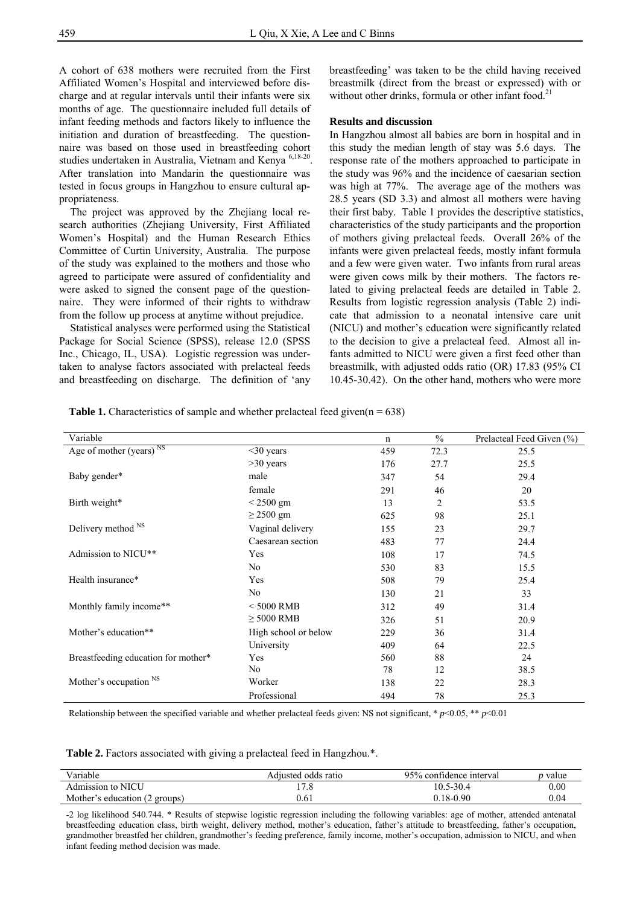A cohort of 638 mothers were recruited from the First Affiliated Women's Hospital and interviewed before discharge and at regular intervals until their infants were six months of age. The questionnaire included full details of infant feeding methods and factors likely to influence the initiation and duration of breastfeeding. The questionnaire was based on those used in breastfeeding cohort studies undertaken in Australia, Vietnam and Kenya <sup>6,18-20</sup>. After translation into Mandarin the questionnaire was tested in focus groups in Hangzhou to ensure cultural appropriateness.

 The project was approved by the Zhejiang local research authorities (Zhejiang University, First Affiliated Women's Hospital) and the Human Research Ethics Committee of Curtin University, Australia. The purpose of the study was explained to the mothers and those who agreed to participate were assured of confidentiality and were asked to signed the consent page of the questionnaire. They were informed of their rights to withdraw from the follow up process at anytime without prejudice.

 Statistical analyses were performed using the Statistical Package for Social Science (SPSS), release 12.0 (SPSS Inc., Chicago, IL, USA). Logistic regression was undertaken to analyse factors associated with prelacteal feeds and breastfeeding on discharge. The definition of 'any breastfeeding' was taken to be the child having received breastmilk (direct from the breast or expressed) with or without other drinks, formula or other infant food.<sup>21</sup>

### **Results and discussion**

In Hangzhou almost all babies are born in hospital and in this study the median length of stay was 5.6 days. The response rate of the mothers approached to participate in the study was 96% and the incidence of caesarian section was high at 77%. The average age of the mothers was 28.5 years (SD 3.3) and almost all mothers were having their first baby. Table 1 provides the descriptive statistics, characteristics of the study participants and the proportion of mothers giving prelacteal feeds. Overall 26% of the infants were given prelacteal feeds, mostly infant formula and a few were given water. Two infants from rural areas were given cows milk by their mothers. The factors related to giving prelacteal feeds are detailed in Table 2. Results from logistic regression analysis (Table 2) indicate that admission to a neonatal intensive care unit (NICU) and mother's education were significantly related to the decision to give a prelacteal feed. Almost all infants admitted to NICU were given a first feed other than breastmilk, with adjusted odds ratio (OR) 17.83 (95% CI 10.45-30.42). On the other hand, mothers who were more

**Table 1.** Characteristics of sample and whether prelacteal feed given( $n = 638$ )

| Variable                            |                      | n   | $\frac{0}{0}$ | Prelacteal Feed Given (%) |
|-------------------------------------|----------------------|-----|---------------|---------------------------|
| Age of mother (years) <sup>NS</sup> | $30$ years           | 459 | 72.3          | 25.5                      |
|                                     | $>30$ years          | 176 | 27.7          | 25.5                      |
| Baby gender*                        | male                 | 347 | 54            | 29.4                      |
|                                     | female               | 291 | 46            | 20                        |
| Birth weight*                       | $\leq$ 2500 gm       | 13  | 2             | 53.5                      |
|                                     | $\geq$ 2500 gm       | 625 | 98            | 25.1                      |
| Delivery method <sup>NS</sup>       | Vaginal delivery     | 155 | 23            | 29.7                      |
|                                     | Caesarean section    | 483 | 77            | 24.4                      |
| Admission to NICU**                 | Yes                  | 108 | 17            | 74.5                      |
|                                     | No                   | 530 | 83            | 15.5                      |
| Health insurance*                   | Yes                  | 508 | 79            | 25.4                      |
|                                     | N <sub>0</sub>       | 130 | 21            | 33                        |
| Monthly family income**             | $<$ 5000 RMB         | 312 | 49            | 31.4                      |
|                                     | $\geq$ 5000 RMB      | 326 | 51            | 20.9                      |
| Mother's education**                | High school or below | 229 | 36            | 31.4                      |
|                                     | University           | 409 | 64            | 22.5                      |
| Breastfeeding education for mother* | Yes                  | 560 | 88            | 24                        |
|                                     | No                   | 78  | 12            | 38.5                      |
| Mother's occupation NS              | Worker               | 138 | 22            | 28.3                      |
|                                     | Professional         | 494 | 78            | 25.3                      |

Relationship between the specified variable and whether prelacteal feeds given: NS not significant, \* *p*<0.05, \*\* *p*<0.01

**Table 2.** Factors associated with giving a prelacteal feed in Hangzhou.\*.

| Variable                      | Adiusted odds ratio | 95% confidence interval | <i>p</i> value |
|-------------------------------|---------------------|-------------------------|----------------|
| Admission to NICU             | $\overline{ }$      | 10.5-30.4               | $0.00\,$       |
| Mother's education (2 groups) | 9.61                | $0.18 - 0.90$           | 0.04           |

-2 log likelihood 540.744. \* Results of stepwise logistic regression including the following variables: age of mother, attended antenatal breastfeeding education class, birth weight, delivery method, mother's education, father's attitude to breastfeeding, father's occupation, grandmother breastfed her children, grandmother's feeding preference, family income, mother's occupation, admission to NICU, and when infant feeding method decision was made.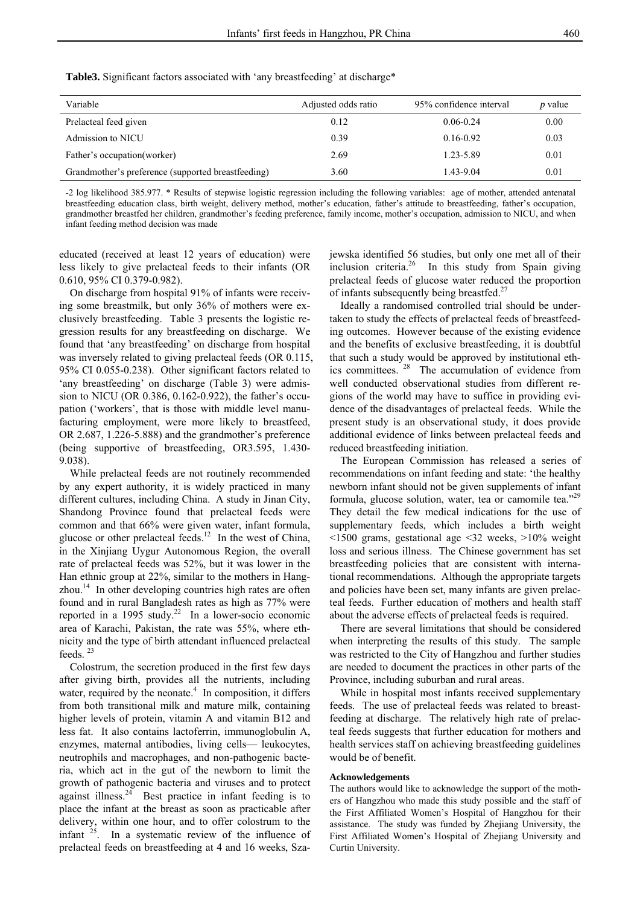| Variable                                           | Adjusted odds ratio | 95% confidence interval | <i>p</i> value |
|----------------------------------------------------|---------------------|-------------------------|----------------|
| Prelacteal feed given                              | 0.12                | $0.06 - 0.24$           | 0.00           |
| Admission to NICU                                  | 0.39                | $0.16 - 0.92$           | 0.03           |
| Father's occupation (worker)                       | 2.69                | 1.23-5.89               | 0.01           |
| Grandmother's preference (supported breastfeeding) | 3.60                | 1.43-9.04               | 0.01           |

**Table3.** Significant factors associated with 'any breastfeeding' at discharge\*

-2 log likelihood 385.977. \* Results of stepwise logistic regression including the following variables: age of mother, attended antenatal breastfeeding education class, birth weight, delivery method, mother's education, father's attitude to breastfeeding, father's occupation, grandmother breastfed her children, grandmother's feeding preference, family income, mother's occupation, admission to NICU, and when infant feeding method decision was made

educated (received at least 12 years of education) were less likely to give prelacteal feeds to their infants (OR 0.610, 95% CI 0.379-0.982).

 On discharge from hospital 91% of infants were receiving some breastmilk, but only 36% of mothers were exclusively breastfeeding. Table 3 presents the logistic regression results for any breastfeeding on discharge. We found that 'any breastfeeding' on discharge from hospital was inversely related to giving prelacteal feeds (OR 0.115, 95% CI 0.055-0.238). Other significant factors related to 'any breastfeeding' on discharge (Table 3) were admission to NICU (OR 0.386, 0.162-0.922), the father's occupation ('workers', that is those with middle level manufacturing employment, were more likely to breastfeed, OR 2.687, 1.226-5.888) and the grandmother's preference (being supportive of breastfeeding, OR3.595, 1.430- 9.038).

 While prelacteal feeds are not routinely recommended by any expert authority, it is widely practiced in many different cultures, including China. A study in Jinan City, Shandong Province found that prelacteal feeds were common and that 66% were given water, infant formula, glucose or other prelacteal feeds.<sup>12</sup> In the west of China, in the Xinjiang Uygur Autonomous Region, the overall rate of prelacteal feeds was 52%, but it was lower in the Han ethnic group at 22%, similar to the mothers in Hangzhou.<sup>14</sup> In other developing countries high rates are often found and in rural Bangladesh rates as high as 77% were reported in a 1995 study.<sup>22</sup> In a lower-socio economic area of Karachi, Pakistan, the rate was 55%, where ethnicity and the type of birth attendant influenced prelacteal feeds. <sup>23</sup>

 Colostrum, the secretion produced in the first few days after giving birth, provides all the nutrients, including water, required by the neonate. $4$  In composition, it differs from both transitional milk and mature milk, containing higher levels of protein, vitamin A and vitamin B12 and less fat. It also contains lactoferrin, immunoglobulin A, enzymes, maternal antibodies, living cells— leukocytes, neutrophils and macrophages, and non-pathogenic bacteria, which act in the gut of the newborn to limit the growth of pathogenic bacteria and viruses and to protect against illness. $24$  Best practice in infant feeding is to place the infant at the breast as soon as practicable after delivery, within one hour, and to offer colostrum to the infant  $25$ . In a systematic review of the influence of prelacteal feeds on breastfeeding at 4 and 16 weeks, Szajewska identified 56 studies, but only one met all of their inclusion criteria.<sup>26</sup> In this study from Spain giving prelacteal feeds of glucose water reduced the proportion of infants subsequently being breastfed.<sup>27</sup>

 Ideally a randomised controlled trial should be undertaken to study the effects of prelacteal feeds of breastfeeding outcomes. However because of the existing evidence and the benefits of exclusive breastfeeding, it is doubtful that such a study would be approved by institutional ethics committees. 28 The accumulation of evidence from well conducted observational studies from different regions of the world may have to suffice in providing evidence of the disadvantages of prelacteal feeds. While the present study is an observational study, it does provide additional evidence of links between prelacteal feeds and reduced breastfeeding initiation.

 The European Commission has released a series of recommendations on infant feeding and state: 'the healthy newborn infant should not be given supplements of infant formula, glucose solution, water, tea or camomile tea."<sup>29</sup> They detail the few medical indications for the use of supplementary feeds, which includes a birth weight <1500 grams, gestational age <32 weeks, >10% weight loss and serious illness. The Chinese government has set breastfeeding policies that are consistent with international recommendations. Although the appropriate targets and policies have been set, many infants are given prelacteal feeds. Further education of mothers and health staff about the adverse effects of prelacteal feeds is required.

 There are several limitations that should be considered when interpreting the results of this study. The sample was restricted to the City of Hangzhou and further studies are needed to document the practices in other parts of the Province, including suburban and rural areas.

 While in hospital most infants received supplementary feeds. The use of prelacteal feeds was related to breastfeeding at discharge. The relatively high rate of prelacteal feeds suggests that further education for mothers and health services staff on achieving breastfeeding guidelines would be of benefit.

#### **Acknowledgements**

The authors would like to acknowledge the support of the mothers of Hangzhou who made this study possible and the staff of the First Affiliated Women's Hospital of Hangzhou for their assistance. The study was funded by Zhejiang University, the First Affiliated Women's Hospital of Zhejiang University and Curtin University.